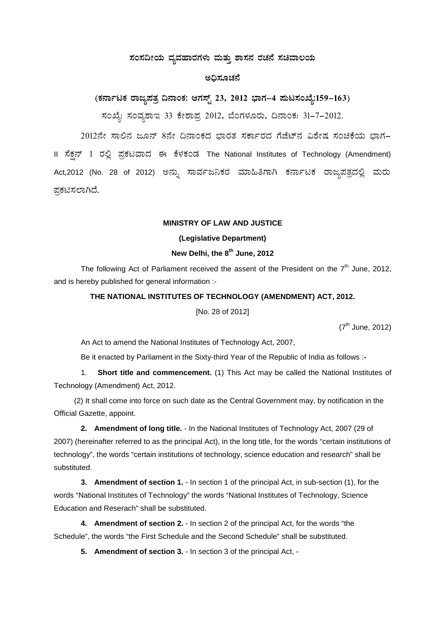## ಸಂಸದೀಯ ವ್ಯವಹಾರಗಳು ಮತ್ತು ಶಾಸನ ರಚನೆ ಸಚಿವಾಲಯ

## ಅಧಿಸೂಚನೆ

(ಕರ್ನಾಟಕ ರಾಜ್ಯಪತ್ರ ದಿನಾಂಕ: ಆಗಸ್ಟ್ 23, 2012 ಭಾಗ–4 ಪುಟಸಂಖ್ಯೆ:159–163) ಸಂಖ್ಯೆ: ಸಂವೃಶಾಇ 33 ಕೇಶಾಪ್ರ 2012, ಬೆಂಗಳೂರು, ದಿನಾಂಕ: 31-7-2012.

2012ನೇ ಸಾಲಿನ ಜೂನ್ 8ನೇ ದಿನಾಂಕದ ಭಾರತ ಸರ್ಕಾರದ ಗೆಜೆಟ್ನ ವಿಶೇಷ ಸಂಚಿಕೆಯ ಭಾಗ– II ಸೆಕ್ಷನ್ 1 ರಲ್ಲಿ ಪ್ರಕಟವಾದ ಈ ಕೆಳಕಂಡ The National Institutes of Technology (Amendment) Act,2012 (No. 28 of 2012) ಅನ್ನು ಸಾರ್ವಜನಿಕರ ಮಾಹಿತಿಗಾಗಿ ಕರ್ನಾಟಕ ರಾಜ್ಮಪತ್ರದಲ್ಲಿ ಮರು ಪ್ರಕಟಿಸಲಾಗಿದೆ.

## **MINISTRY OF LAW AND JUSTICE**

### (Legislative Department)

## New Delhi, the 8<sup>th</sup> June, 2012

The following Act of Parliament received the assent of the President on the  $7<sup>th</sup>$  June, 2012, and is hereby published for general information :-

#### THE NATIONAL INSTITUTES OF TECHNOLOGY (AMENDMENT) ACT, 2012.

[No. 28 of 2012]

 $(7<sup>th</sup>$  June, 2012)

An Act to amend the National Institutes of Technology Act, 2007,

Be it enacted by Parliament in the Sixty-third Year of the Republic of India as follows :-

Short title and commencement. (1) This Act may be called the National Institutes of  $1.$ Technology (Amendment) Act, 2012.

(2) It shall come into force on such date as the Central Government may, by notification in the Official Gazette, appoint.

2. Amendment of long title. - In the National Institutes of Technology Act, 2007 (29 of 2007) (hereinafter referred to as the principal Act), in the long title, for the words "certain institutions of technology", the words "certain institutions of technology, science education and research" shall be substituted.

3. Amendment of section 1. - In section 1 of the principal Act, in sub-section (1), for the words "National Institutes of Technology" the words "National Institutes of Technology, Science Education and Reserach" shall be substituted.

4. Amendment of section 2. - In section 2 of the principal Act, for the words "the Schedule", the words "the First Schedule and the Second Schedule" shall be substituted.

5. Amendment of section 3. - In section 3 of the principal Act, -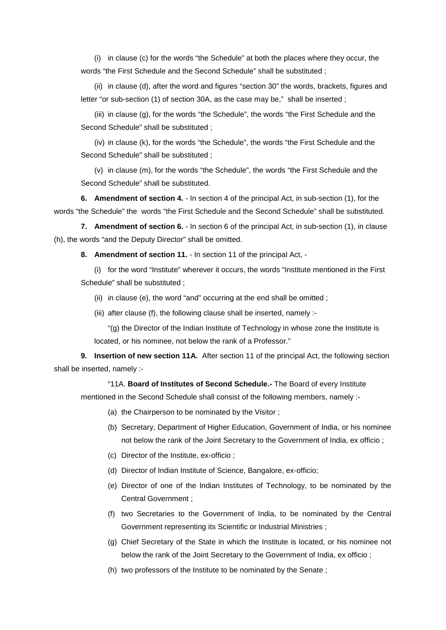(i) in clause (c) for the words "the Schedule" at both the places where they occur, the words "the First Schedule and the Second Schedule" shall be substituted ;

(ii) in clause (d), after the word and figures "section 30" the words, brackets, figures and letter "or sub-section (1) of section 30A, as the case may be," shall be inserted;

(iii) in clause (g), for the words "the Schedule", the words "the First Schedule and the Second Schedule" shall be substituted ;

(iv) in clause (k), for the words "the Schedule", the words "the First Schedule and the Second Schedule" shall be substituted ;

(v) in clause (m), for the words "the Schedule", the words "the First Schedule and the Second Schedule" shall be substituted.

**6. Amendment of section 4.** - In section 4 of the principal Act, in sub-section (1), for the words "the Schedule" the words "the First Schedule and the Second Schedule" shall be substituted.

**7. Amendment of section 6.** - In section 6 of the principal Act, in sub-section (1), in clause (h), the words "and the Deputy Director" shall be omitted.

**8. Amendment of section 11.** - In section 11 of the principal Act, -

(i) for the word "Institute" wherever it occurs, the words "Institute mentioned in the First Schedule" shall be substituted ;

(ii) in clause (e), the word "and" occurring at the end shall be omitted ;

(iii) after clause (f), the following clause shall be inserted, namely :-

"(g) the Director of the Indian Institute of Technology in whose zone the Institute is located, or his nominee, not below the rank of a Professor."

**9. Insertion of new section 11A.** After section 11 of the principal Act, the following section shall be inserted, namely :-

"11A. **Board of Institutes of Second Schedule.-** The Board of every Institute mentioned in the Second Schedule shall consist of the following members, namely :-

- (a) the Chairperson to be nominated by the Visitor ;
- (b) Secretary, Department of Higher Education, Government of India, or his nominee not below the rank of the Joint Secretary to the Government of India, ex officio ;
- (c) Director of the Institute, ex-officio ;
- (d) Director of Indian Institute of Science, Bangalore, ex-officio;
- (e) Director of one of the Indian Institutes of Technology, to be nominated by the Central Government ;
- (f) two Secretaries to the Government of India, to be nominated by the Central Government representing its Scientific or Industrial Ministries ;
- (g) Chief Secretary of the State in which the Institute is located, or his nominee not below the rank of the Joint Secretary to the Government of India, ex officio ;
- (h) two professors of the Institute to be nominated by the Senate ;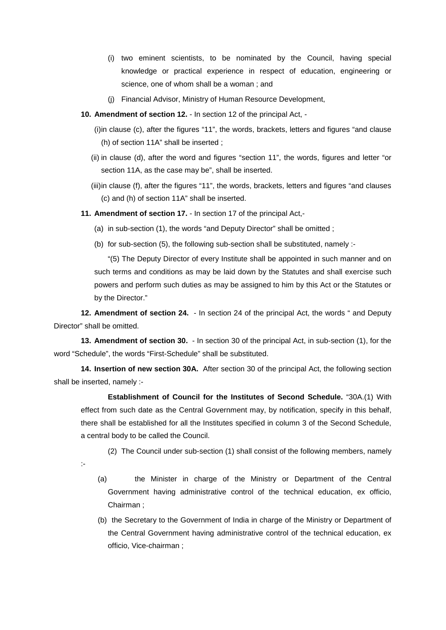- (i) two eminent scientists, to be nominated by the Council, having special knowledge or practical experience in respect of education, engineering or science, one of whom shall be a woman ; and
- (j) Financial Advisor, Ministry of Human Resource Development,
- **10. Amendment of section 12.** In section 12 of the principal Act,
	- (i)in clause (c), after the figures "11", the words, brackets, letters and figures "and clause (h) of section 11A" shall be inserted ;
	- (ii) in clause (d), after the word and figures "section 11", the words, figures and letter "or section 11A, as the case may be", shall be inserted.
	- (iii)in clause (f), after the figures "11", the words, brackets, letters and figures "and clauses (c) and (h) of section 11A" shall be inserted.
- **11. Amendment of section 17.** In section 17 of the principal Act,-
	- (a) in sub-section (1), the words "and Deputy Director" shall be omitted ;
	- (b) for sub-section (5), the following sub-section shall be substituted, namely :-

"(5) The Deputy Director of every Institute shall be appointed in such manner and on such terms and conditions as may be laid down by the Statutes and shall exercise such powers and perform such duties as may be assigned to him by this Act or the Statutes or by the Director."

**12. Amendment of section 24.** - In section 24 of the principal Act, the words " and Deputy Director" shall be omitted.

**13. Amendment of section 30.** - In section 30 of the principal Act, in sub-section (1), for the word "Schedule", the words "First-Schedule" shall be substituted.

**14. Insertion of new section 30A.** After section 30 of the principal Act, the following section shall be inserted, namely :-

:-

**Establishment of Council for the Institutes of Second Schedule.** "30A.(1) With effect from such date as the Central Government may, by notification, specify in this behalf, there shall be established for all the Institutes specified in column 3 of the Second Schedule, a central body to be called the Council.

(2) The Council under sub-section (1) shall consist of the following members, namely

- (a) the Minister in charge of the Ministry or Department of the Central Government having administrative control of the technical education, ex officio, Chairman ;
- (b) the Secretary to the Government of India in charge of the Ministry or Department of the Central Government having administrative control of the technical education, ex officio, Vice-chairman ;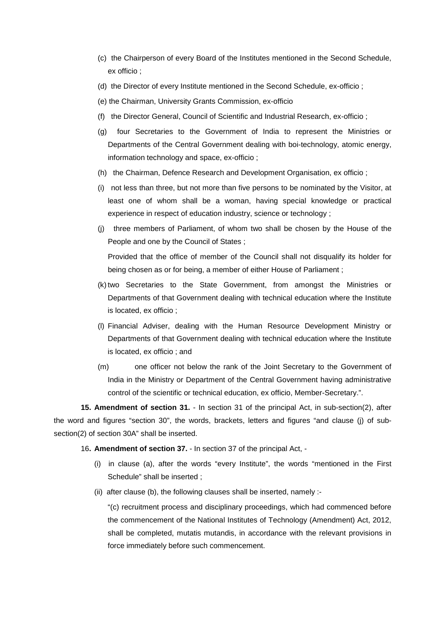- (c) the Chairperson of every Board of the Institutes mentioned in the Second Schedule, ex officio ;
- (d) the Director of every Institute mentioned in the Second Schedule, ex-officio ;
- (e) the Chairman, University Grants Commission, ex-officio
- (f) the Director General, Council of Scientific and Industrial Research, ex-officio ;
- (g) four Secretaries to the Government of India to represent the Ministries or Departments of the Central Government dealing with boi-technology, atomic energy, information technology and space, ex-officio ;
- (h) the Chairman, Defence Research and Development Organisation, ex officio ;
- (i) not less than three, but not more than five persons to be nominated by the Visitor, at least one of whom shall be a woman, having special knowledge or practical experience in respect of education industry, science or technology ;
- (j) three members of Parliament, of whom two shall be chosen by the House of the People and one by the Council of States ; Provided that the office of member of the Council shall not disqualify its holder for

being chosen as or for being, a member of either House of Parliament ;

- (k) two Secretaries to the State Government, from amongst the Ministries or Departments of that Government dealing with technical education where the Institute is located, ex officio ;
- (l) Financial Adviser, dealing with the Human Resource Development Ministry or Departments of that Government dealing with technical education where the Institute is located, ex officio ; and
- (m) one officer not below the rank of the Joint Secretary to the Government of India in the Ministry or Department of the Central Government having administrative control of the scientific or technical education, ex officio, Member-Secretary.".

**15. Amendment of section 31.** - In section 31 of the principal Act, in sub-section(2), after the word and figures "section 30", the words, brackets, letters and figures "and clause (j) of subsection(2) of section 30A" shall be inserted.

## 16**. Amendment of section 37.** - In section 37 of the principal Act, -

- (i) in clause (a), after the words "every Institute", the words "mentioned in the First Schedule" shall be inserted ;
- (ii) after clause (b), the following clauses shall be inserted, namely :-

"(c) recruitment process and disciplinary proceedings, which had commenced before the commencement of the National Institutes of Technology (Amendment) Act, 2012, shall be completed, mutatis mutandis, in accordance with the relevant provisions in force immediately before such commencement.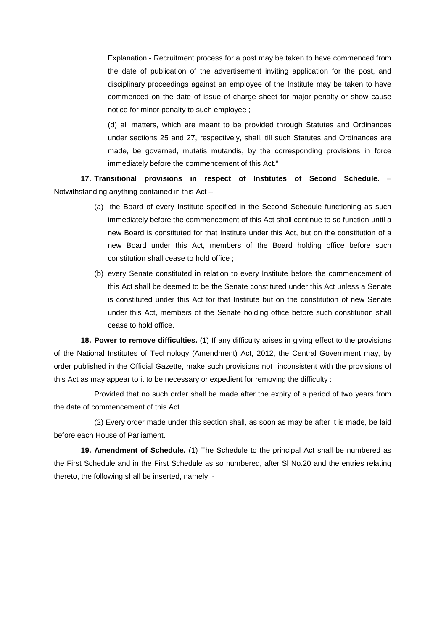Explanation,- Recruitment process for a post may be taken to have commenced from the date of publication of the advertisement inviting application for the post, and disciplinary proceedings against an employee of the Institute may be taken to have commenced on the date of issue of charge sheet for major penalty or show cause notice for minor penalty to such employee ;

(d) all matters, which are meant to be provided through Statutes and Ordinances under sections 25 and 27, respectively, shall, till such Statutes and Ordinances are made, be governed, mutatis mutandis, by the corresponding provisions in force immediately before the commencement of this Act."

**17. Transitional provisions in respect of Institutes of Second Schedule.** – Notwithstanding anything contained in this Act –

- (a) the Board of every Institute specified in the Second Schedule functioning as such immediately before the commencement of this Act shall continue to so function until a new Board is constituted for that Institute under this Act, but on the constitution of a new Board under this Act, members of the Board holding office before such constitution shall cease to hold office ;
- (b) every Senate constituted in relation to every Institute before the commencement of this Act shall be deemed to be the Senate constituted under this Act unless a Senate is constituted under this Act for that Institute but on the constitution of new Senate under this Act, members of the Senate holding office before such constitution shall cease to hold office.

**18. Power to remove difficulties.** (1) If any difficulty arises in giving effect to the provisions of the National Institutes of Technology (Amendment) Act, 2012, the Central Government may, by order published in the Official Gazette, make such provisions not inconsistent with the provisions of this Act as may appear to it to be necessary or expedient for removing the difficulty :

Provided that no such order shall be made after the expiry of a period of two years from the date of commencement of this Act.

(2) Every order made under this section shall, as soon as may be after it is made, be laid before each House of Parliament.

**19. Amendment of Schedule.** (1) The Schedule to the principal Act shall be numbered as the First Schedule and in the First Schedule as so numbered, after Sl No.20 and the entries relating thereto, the following shall be inserted, namely :-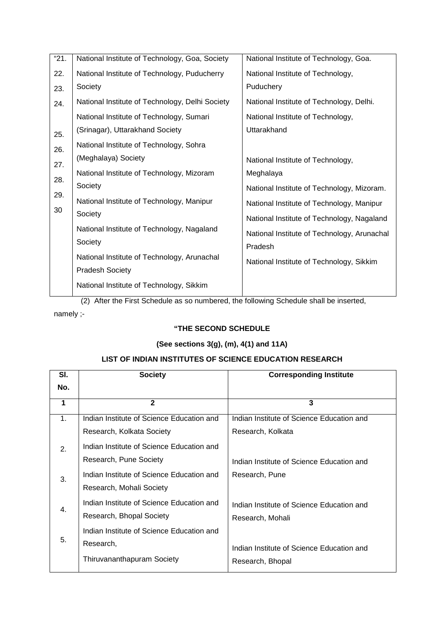| "21. | National Institute of Technology, Goa, Society  | National Institute of Technology, Goa.      |
|------|-------------------------------------------------|---------------------------------------------|
| 22.  | National Institute of Technology, Puducherry    | National Institute of Technology,           |
| 23.  | Society                                         | Puduchery                                   |
| 24.  | National Institute of Technology, Delhi Society | National Institute of Technology, Delhi.    |
|      | National Institute of Technology, Sumari        | National Institute of Technology,           |
| 25.  | (Srinagar), Uttarakhand Society                 | Uttarakhand                                 |
| 26.  | National Institute of Technology, Sohra         |                                             |
| 27.  | (Meghalaya) Society                             | National Institute of Technology,           |
| 28.  | National Institute of Technology, Mizoram       | Meghalaya                                   |
|      | Society                                         | National Institute of Technology, Mizoram.  |
| 29.  | National Institute of Technology, Manipur       | National Institute of Technology, Manipur   |
| 30   | Society                                         | National Institute of Technology, Nagaland  |
|      | National Institute of Technology, Nagaland      | National Institute of Technology, Arunachal |
|      | Society                                         | Pradesh                                     |
|      | National Institute of Technology, Arunachal     | National Institute of Technology, Sikkim    |
|      | <b>Pradesh Society</b>                          |                                             |
|      | National Institute of Technology, Sikkim        |                                             |

(2) After the First Schedule as so numbered, the following Schedule shall be inserted,

namely ;-

# **"THE SECOND SCHEDULE**

# **(See sections 3(g), (m), 4(1) and 11A)**

# **LIST OF INDIAN INSTITUTES OF SCIENCE EDUCATION RESEARCH**

| SI.            | <b>Society</b>                            | <b>Corresponding Institute</b>            |
|----------------|-------------------------------------------|-------------------------------------------|
| No.            |                                           |                                           |
| 1              | $\mathbf{2}$                              | 3                                         |
| 1.             | Indian Institute of Science Education and | Indian Institute of Science Education and |
|                | Research, Kolkata Society                 | Research, Kolkata                         |
| 2.             | Indian Institute of Science Education and |                                           |
|                | Research, Pune Society                    | Indian Institute of Science Education and |
| 3.             | Indian Institute of Science Education and | Research, Pune                            |
|                | Research, Mohali Society                  |                                           |
| $\mathbf{4}$ . | Indian Institute of Science Education and | Indian Institute of Science Education and |
|                | Research, Bhopal Society                  | Research, Mohali                          |
|                | Indian Institute of Science Education and |                                           |
| 5.             | Research,                                 | Indian Institute of Science Education and |
|                | Thiruvananthapuram Society                | Research, Bhopal                          |
|                |                                           |                                           |